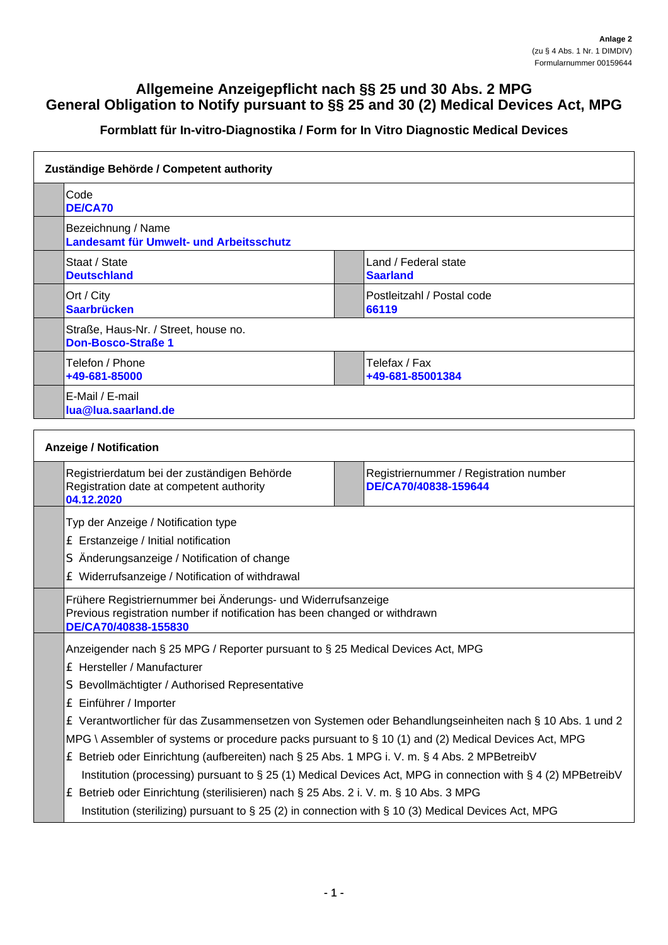## **Allgemeine Anzeigepflicht nach §§ 25 und 30 Abs. 2 MPG General Obligation to Notify pursuant to §§ 25 and 30 (2) Medical Devices Act, MPG**

## **Formblatt für In-vitro-Diagnostika / Form for In Vitro Diagnostic Medical Devices**

| Zuständige Behörde / Competent authority                                                              |                                                                                                                                            |  |  |  |
|-------------------------------------------------------------------------------------------------------|--------------------------------------------------------------------------------------------------------------------------------------------|--|--|--|
| Code<br><b>DE/CA70</b>                                                                                |                                                                                                                                            |  |  |  |
| Bezeichnung / Name<br>Landesamt für Umwelt- und Arbeitsschutz                                         |                                                                                                                                            |  |  |  |
| Staat / State<br><b>Deutschland</b>                                                                   | Land / Federal state<br><b>Saarland</b>                                                                                                    |  |  |  |
| Ort / City<br><b>Saarbrücken</b>                                                                      | Postleitzahl / Postal code<br>66119                                                                                                        |  |  |  |
| Straße, Haus-Nr. / Street, house no.<br><b>Don-Bosco-Straße 1</b>                                     |                                                                                                                                            |  |  |  |
| Telefon / Phone<br>+49-681-85000                                                                      | Telefax / Fax<br>+49-681-85001384                                                                                                          |  |  |  |
| E-Mail / E-mail<br>lua@lua.saarland.de                                                                |                                                                                                                                            |  |  |  |
| <b>Anzeige / Notification</b>                                                                         |                                                                                                                                            |  |  |  |
| Registrierdatum bei der zuständigen Behörde<br>Registration date at competent authority<br>04.12.2020 | Registriernummer / Registration number<br>DE/CA70/40838-159644                                                                             |  |  |  |
| Typ der Anzeige / Notification type                                                                   |                                                                                                                                            |  |  |  |
| £ Erstanzeige / Initial notification                                                                  |                                                                                                                                            |  |  |  |
| S Änderungsanzeige / Notification of change                                                           |                                                                                                                                            |  |  |  |
| £ Widerrufsanzeige / Notification of withdrawal                                                       |                                                                                                                                            |  |  |  |
| DE/CA70/40838-155830                                                                                  | Frühere Registriernummer bei Änderungs- und Widerrufsanzeige<br>Previous registration number if notification has been changed or withdrawn |  |  |  |
| Anzeigender nach § 25 MPG / Reporter pursuant to § 25 Medical Devices Act, MPG                        |                                                                                                                                            |  |  |  |
| £ Hersteller / Manufacturer                                                                           |                                                                                                                                            |  |  |  |
| S Bevollmächtigter / Authorised Representative                                                        |                                                                                                                                            |  |  |  |
| £ Einführer / Importer                                                                                |                                                                                                                                            |  |  |  |
|                                                                                                       | E Verantwortlicher für das Zusammensetzen von Systemen oder Behandlungseinheiten nach § 10 Abs. 1 und 2                                    |  |  |  |
|                                                                                                       | MPG \ Assembler of systems or procedure packs pursuant to $\S$ 10 (1) and (2) Medical Devices Act, MPG                                     |  |  |  |
|                                                                                                       | £ Betrieb oder Einrichtung (aufbereiten) nach § 25 Abs. 1 MPG i. V. m. § 4 Abs. 2 MPBetreibV                                               |  |  |  |
|                                                                                                       | Institution (processing) pursuant to § 25 (1) Medical Devices Act, MPG in connection with § 4 (2) MPBetreibV                               |  |  |  |
| £ Betrieb oder Einrichtung (sterilisieren) nach § 25 Abs. 2 i. V. m. § 10 Abs. 3 MPG                  |                                                                                                                                            |  |  |  |
| Institution (sterilizing) pursuant to § 25 (2) in connection with § 10 (3) Medical Devices Act, MPG   |                                                                                                                                            |  |  |  |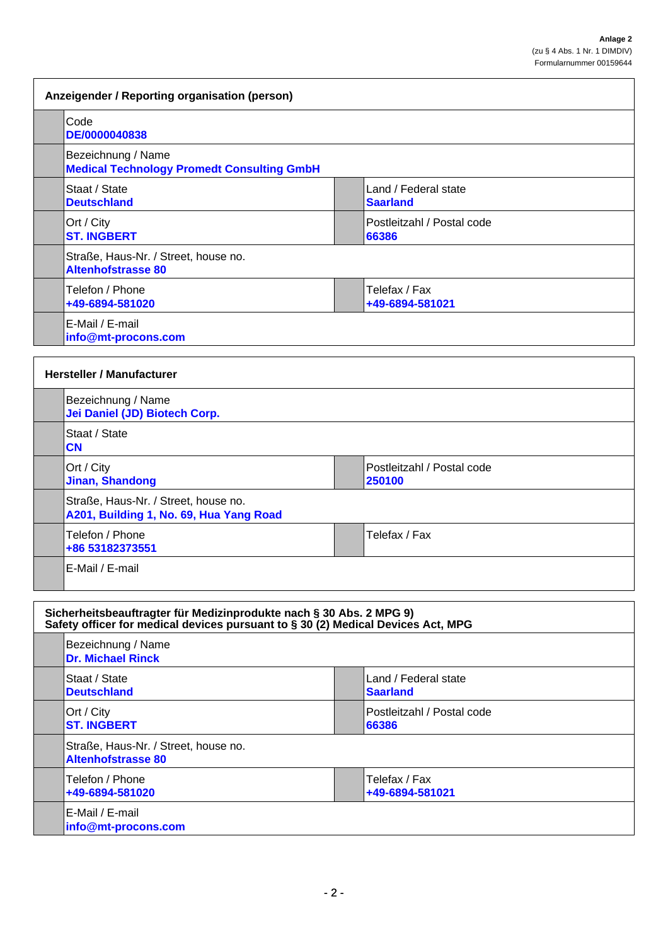| Anzeigender / Reporting organisation (person)                                   |                                         |  |  |
|---------------------------------------------------------------------------------|-----------------------------------------|--|--|
| Code<br>DE/0000040838                                                           |                                         |  |  |
| Bezeichnung / Name<br><b>Medical Technology Promedt Consulting GmbH</b>         |                                         |  |  |
| Staat / State<br><b>Deutschland</b>                                             | Land / Federal state<br><b>Saarland</b> |  |  |
| Ort / City<br><b>ST. INGBERT</b>                                                | Postleitzahl / Postal code<br>66386     |  |  |
| Straße, Haus-Nr. / Street, house no.<br><b>Altenhofstrasse 80</b>               |                                         |  |  |
| Telefon / Phone<br>+49-6894-581020                                              | Telefax / Fax<br>+49-6894-581021        |  |  |
| E-Mail / E-mail<br>info@mt-procons.com                                          |                                         |  |  |
| <b>Hersteller / Manufacturer</b>                                                |                                         |  |  |
| Bezeichnung / Name<br>Jei Daniel (JD) Biotech Corp.                             |                                         |  |  |
| Staat / State<br><b>CN</b>                                                      |                                         |  |  |
| Ort / City<br><b>Jinan, Shandong</b>                                            | Postleitzahl / Postal code<br>250100    |  |  |
| Straße, Haus-Nr. / Street, house no.<br>A201, Building 1, No. 69, Hua Yang Road |                                         |  |  |
| Telefon / Phone<br>+86 53182373551                                              | Telefax / Fax                           |  |  |
| E-Mail / E-mail                                                                 |                                         |  |  |
| $\cdots$ $\cdots$ $\cdots$<br>.                                                 |                                         |  |  |

| Sicherheitsbeauftragter für Medizinprodukte nach § 30 Abs. 2 MPG 9)<br>Safety officer for medical devices pursuant to § 30 (2) Medical Devices Act, MPG |                                                                   |                                         |
|---------------------------------------------------------------------------------------------------------------------------------------------------------|-------------------------------------------------------------------|-----------------------------------------|
|                                                                                                                                                         | Bezeichnung / Name<br><b>Dr. Michael Rinck</b>                    |                                         |
|                                                                                                                                                         | Staat / State<br><b>Deutschland</b>                               | Land / Federal state<br><b>Saarland</b> |
|                                                                                                                                                         | Ort / City<br><b>ST. INGBERT</b>                                  | IPostleitzahl / Postal code<br>66386    |
|                                                                                                                                                         | Straße, Haus-Nr. / Street, house no.<br><b>Altenhofstrasse 80</b> |                                         |
|                                                                                                                                                         | Telefon / Phone<br>+49-6894-581020                                | Telefax / Fax<br>+49-6894-581021        |
|                                                                                                                                                         | E-Mail / E-mail<br>info@mt-procons.com                            |                                         |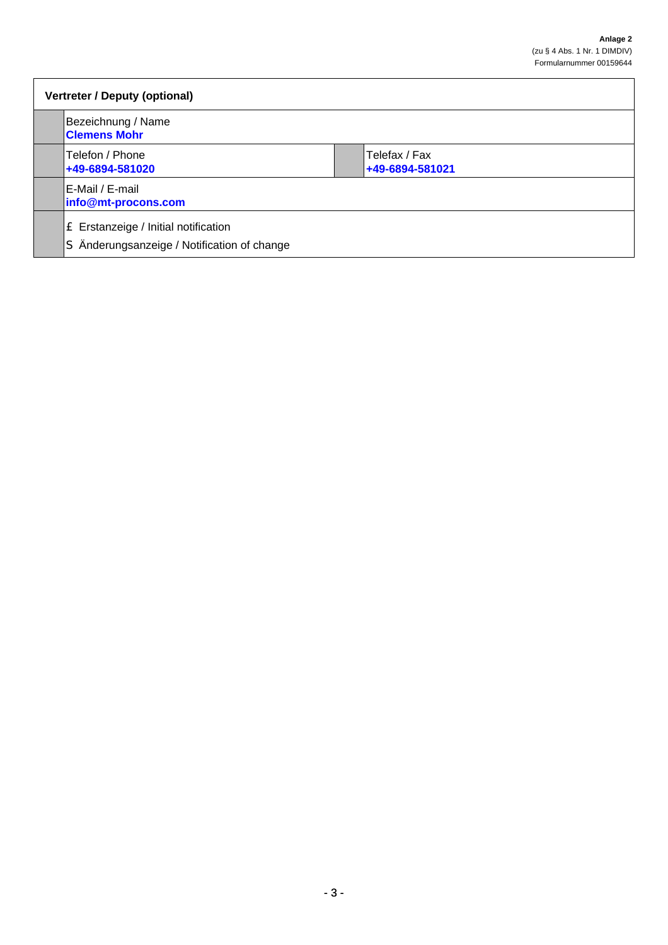| Vertreter / Deputy (optional)                                                       |                                  |  |
|-------------------------------------------------------------------------------------|----------------------------------|--|
| Bezeichnung / Name<br><b>Clemens Mohr</b>                                           |                                  |  |
| Telefon / Phone<br>+49-6894-581020                                                  | Telefax / Fax<br>+49-6894-581021 |  |
| E-Mail / E-mail<br>info@mt-procons.com                                              |                                  |  |
| E Erstanzeige / Initial notification<br>S Änderungsanzeige / Notification of change |                                  |  |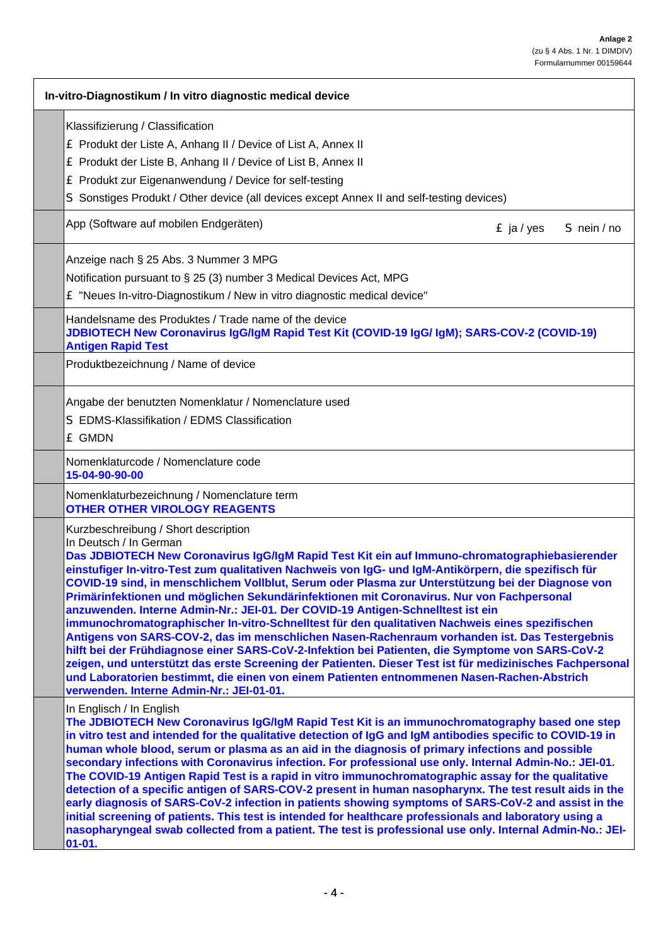| In-vitro-Diagnostikum / In vitro diagnostic medical device                                                                                                                                                                                                                                                                                                                                                                                                                                                                                                                                                                                                                                                                                                                                                                                                                                                                                                                                                                                                                                                                   |
|------------------------------------------------------------------------------------------------------------------------------------------------------------------------------------------------------------------------------------------------------------------------------------------------------------------------------------------------------------------------------------------------------------------------------------------------------------------------------------------------------------------------------------------------------------------------------------------------------------------------------------------------------------------------------------------------------------------------------------------------------------------------------------------------------------------------------------------------------------------------------------------------------------------------------------------------------------------------------------------------------------------------------------------------------------------------------------------------------------------------------|
| Klassifizierung / Classification<br>E Produkt der Liste A, Anhang II / Device of List A, Annex II<br>E Produkt der Liste B, Anhang II / Device of List B, Annex II<br>E Produkt zur Eigenanwendung / Device for self-testing<br>S Sonstiges Produkt / Other device (all devices except Annex II and self-testing devices)                                                                                                                                                                                                                                                                                                                                                                                                                                                                                                                                                                                                                                                                                                                                                                                                    |
| App (Software auf mobilen Endgeräten)<br>$E$ ja / yes<br>S nein / no                                                                                                                                                                                                                                                                                                                                                                                                                                                                                                                                                                                                                                                                                                                                                                                                                                                                                                                                                                                                                                                         |
| Anzeige nach § 25 Abs. 3 Nummer 3 MPG<br>Notification pursuant to § 25 (3) number 3 Medical Devices Act, MPG<br>£ "Neues In-vitro-Diagnostikum / New in vitro diagnostic medical device"                                                                                                                                                                                                                                                                                                                                                                                                                                                                                                                                                                                                                                                                                                                                                                                                                                                                                                                                     |
| Handelsname des Produktes / Trade name of the device<br>JDBIOTECH New Coronavirus IgG/IgM Rapid Test Kit (COVID-19 IgG/ IgM); SARS-COV-2 (COVID-19)<br><b>Antigen Rapid Test</b>                                                                                                                                                                                                                                                                                                                                                                                                                                                                                                                                                                                                                                                                                                                                                                                                                                                                                                                                             |
| Produktbezeichnung / Name of device                                                                                                                                                                                                                                                                                                                                                                                                                                                                                                                                                                                                                                                                                                                                                                                                                                                                                                                                                                                                                                                                                          |
| Angabe der benutzten Nomenklatur / Nomenclature used<br>S EDMS-Klassifikation / EDMS Classification<br><b>E GMDN</b>                                                                                                                                                                                                                                                                                                                                                                                                                                                                                                                                                                                                                                                                                                                                                                                                                                                                                                                                                                                                         |
| Nomenklaturcode / Nomenclature code<br>15-04-90-90-00                                                                                                                                                                                                                                                                                                                                                                                                                                                                                                                                                                                                                                                                                                                                                                                                                                                                                                                                                                                                                                                                        |
| Nomenklaturbezeichnung / Nomenclature term<br><b>OTHER OTHER VIROLOGY REAGENTS</b>                                                                                                                                                                                                                                                                                                                                                                                                                                                                                                                                                                                                                                                                                                                                                                                                                                                                                                                                                                                                                                           |
| Kurzbeschreibung / Short description<br>In Deutsch / In German<br>Das JDBIOTECH New Coronavirus IgG/IgM Rapid Test Kit ein auf Immuno-chromatographiebasierender<br>einstufiger In-vitro-Test zum qualitativen Nachweis von IgG- und IgM-Antikörpern, die spezifisch für<br>COVID-19 sind, in menschlichem Vollblut, Serum oder Plasma zur Unterstützung bei der Diagnose von<br>Primärinfektionen und möglichen Sekundärinfektionen mit Coronavirus. Nur von Fachpersonal<br>anzuwenden. Interne Admin-Nr.: JEI-01. Der COVID-19 Antigen-Schnelltest ist ein<br>immunochromatographischer In-vitro-Schnelltest für den qualitativen Nachweis eines spezifischen<br>Antigens von SARS-COV-2, das im menschlichen Nasen-Rachenraum vorhanden ist. Das Testergebnis<br>hilft bei der Frühdiagnose einer SARS-CoV-2-Infektion bei Patienten, die Symptome von SARS-CoV-2<br>zeigen, und unterstützt das erste Screening der Patienten. Dieser Test ist für medizinisches Fachpersonal<br>und Laboratorien bestimmt, die einen von einem Patienten entnommenen Nasen-Rachen-Abstrich<br>verwenden. Interne Admin-Nr.: JEI-01-01. |
| In Englisch / In English<br>The JDBIOTECH New Coronavirus IgG/IgM Rapid Test Kit is an immunochromatography based one step<br>in vitro test and intended for the qualitative detection of IgG and IgM antibodies specific to COVID-19 in<br>human whole blood, serum or plasma as an aid in the diagnosis of primary infections and possible<br>secondary infections with Coronavirus infection. For professional use only. Internal Admin-No.: JEI-01.<br>The COVID-19 Antigen Rapid Test is a rapid in vitro immunochromatographic assay for the qualitative<br>detection of a specific antigen of SARS-COV-2 present in human nasopharynx. The test result aids in the<br>early diagnosis of SARS-CoV-2 infection in patients showing symptoms of SARS-CoV-2 and assist in the<br>initial screening of patients. This test is intended for healthcare professionals and laboratory using a<br>nasopharyngeal swab collected from a patient. The test is professional use only. Internal Admin-No.: JEI-<br>$01 - 01.$                                                                                                     |